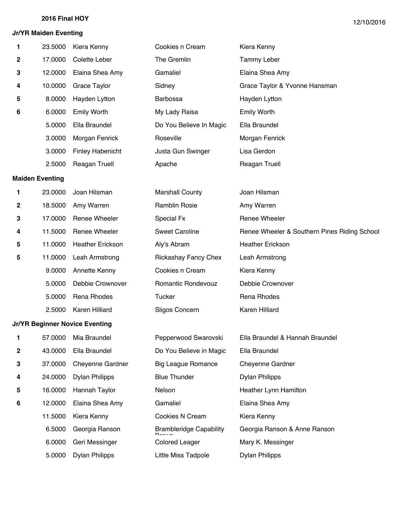#### **Jr/YR Maiden Eventing**

| 1 | 23.5000                | Kiera Kenny                           | Cookies n Cream                | Kiera Kenny                                  |
|---|------------------------|---------------------------------------|--------------------------------|----------------------------------------------|
| 2 | 17.0000                | Colette Leber                         | The Gremlin                    | <b>Tammy Leber</b>                           |
| 3 | 12.0000                | Elaina Shea Amy                       | Gamaliel                       | Elaina Shea Amy                              |
| 4 | 10.0000                | Grace Taylor                          | Sidney                         | Grace Taylor & Yvonne Hansman                |
| 5 | 8.0000                 | Hayden Lytton                         | Barbossa                       | Hayden Lytton                                |
| 6 | 6.0000                 | <b>Emily Worth</b>                    | My Lady Raisa                  | <b>Emily Worth</b>                           |
|   | 5.0000                 | Ella Braundel                         | Do You Believe In Magic        | Ella Braundel                                |
|   | 3.0000                 | Morgan Fenrick                        | Roseville                      | Morgan Fenrick                               |
|   | 3.0000                 | <b>Finley Habenicht</b>               | Justa Gun Swinger              | Lisa Gerdon                                  |
|   | 2.5000                 | <b>Reagan Truell</b>                  | Apache                         | Reagan Truell                                |
|   | <b>Maiden Eventing</b> |                                       |                                |                                              |
| 1 | 23.0000                | Joan Hilsman                          | <b>Marshall County</b>         | Joan Hilsman                                 |
| 2 | 18.5000                | Amy Warren                            | Ramblin Rosie                  | Amy Warren                                   |
| 3 | 17.0000                | Renee Wheeler                         | Special Fx                     | <b>Renee Wheeler</b>                         |
| 4 | 11.5000                | Renee Wheeler                         | <b>Sweet Caroline</b>          | Renee Wheeler & Southern Pines Riding School |
| 5 | 11.0000                | <b>Heather Erickson</b>               | Aly's Abram                    | <b>Heather Erickson</b>                      |
| 5 | 11.0000                | Leah Armstrong                        | <b>Rickashay Fancy Chex</b>    | Leah Armstrong                               |
|   | 9.0000                 | Annette Kenny                         | Cookies n Cream                | Kiera Kenny                                  |
|   | 5.0000                 | Debbie Crownover                      | Romantic Rondevouz             | Debbie Crownover                             |
|   | 5.0000                 | Rena Rhodes                           | <b>Tucker</b>                  | Rena Rhodes                                  |
|   | 2.5000                 | Karen Hilliard                        | Sligos Concern                 | Karen Hilliard                               |
|   |                        | <b>Jr/YR Beginner Novice Eventing</b> |                                |                                              |
| 1 | 57.0000                | Mia Braundel                          | Pepperwood Swarovski           | Ella Braundel & Hannah Braundel              |
| 2 | 43.0000                | Ella Braundel                         | Do You Believe in Magic        | Ella Braundel                                |
| 3 | 37.0000                | Cheyenne Gardner                      | <b>Big League Romance</b>      | <b>Cheyenne Gardner</b>                      |
| 4 | 24.0000                | <b>Dylan Philipps</b>                 | <b>Blue Thunder</b>            | <b>Dylan Philipps</b>                        |
| 5 | 16.0000                | Hannah Taylor                         | Nelson                         | Heather Lynn Hamilton                        |
| 6 | 12.0000                | Elaina Shea Amy                       | Gamaliel                       | Elaina Shea Amy                              |
|   | 11.5000                | Kiera Kenny                           | Cookies N Cream                | Kiera Kenny                                  |
|   | 6.5000                 | Georgia Ranson                        | <b>Brambleridge Capability</b> | Georgia Ranson & Anne Ranson                 |
|   | 6.0000                 | Geri Messinger                        | <b>Colored Leager</b>          | Mary K. Messinger                            |
|   | 5.0000                 | <b>Dylan Philipps</b>                 | Little Miss Tadpole            | <b>Dylan Philipps</b>                        |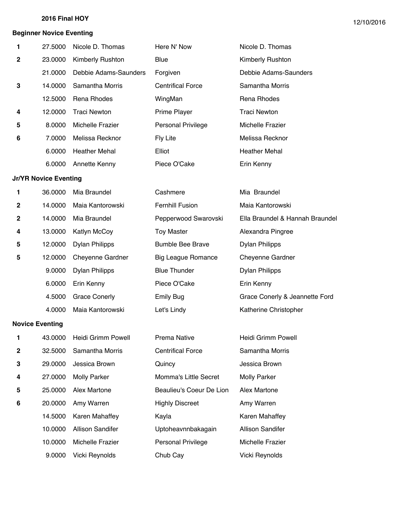#### **Beginner Novice Eventing**

| 1           | 27.5000                      | Nicole D. Thomas      | Here N' Now               | Nicole D. Thomas                |
|-------------|------------------------------|-----------------------|---------------------------|---------------------------------|
| $\mathbf 2$ | 23.0000                      | Kimberly Rushton      | Blue                      | Kimberly Rushton                |
|             | 21.0000                      | Debbie Adams-Saunders | Forgiven                  | Debbie Adams-Saunders           |
| 3           | 14.0000                      | Samantha Morris       | <b>Centrifical Force</b>  | Samantha Morris                 |
|             | 12.5000                      | Rena Rhodes           | WingMan                   | Rena Rhodes                     |
| 4           | 12.0000                      | <b>Traci Newton</b>   | Prime Player              | <b>Traci Newton</b>             |
| 5           | 8.0000                       | Michelle Frazier      | Personal Privilege        | Michelle Frazier                |
| 6           | 7.0000                       | Melissa Recknor       | Fly Lite                  | Melissa Recknor                 |
|             | 6.0000                       | <b>Heather Mehal</b>  | Elliot                    | <b>Heather Mehal</b>            |
|             | 6.0000                       | Annette Kenny         | Piece O'Cake              | Erin Kenny                      |
|             | <b>Jr/YR Novice Eventing</b> |                       |                           |                                 |
| 1           | 36.0000                      | Mia Braundel          | Cashmere                  | Mia Braundel                    |
| 2           | 14.0000                      | Maia Kantorowski      | <b>Fernhill Fusion</b>    | Maia Kantorowski                |
| $\mathbf 2$ | 14.0000                      | Mia Braundel          | Pepperwood Swarovski      | Ella Braundel & Hannah Braundel |
| 4           | 13.0000                      | Katlyn McCoy          | <b>Toy Master</b>         | Alexandra Pingree               |
| 5           | 12.0000                      | <b>Dylan Philipps</b> | <b>Bumble Bee Brave</b>   | <b>Dylan Philipps</b>           |
| 5           | 12.0000                      | Cheyenne Gardner      | <b>Big League Romance</b> | Cheyenne Gardner                |
|             | 9.0000                       | <b>Dylan Philipps</b> | <b>Blue Thunder</b>       | <b>Dylan Philipps</b>           |
|             | 6.0000                       | Erin Kenny            | Piece O'Cake              | Erin Kenny                      |
|             | 4.5000                       | <b>Grace Conerly</b>  | <b>Emily Bug</b>          | Grace Conerly & Jeannette Ford  |
|             | 4.0000                       | Maia Kantorowski      | Let's Lindy               | Katherine Christopher           |
|             | <b>Novice Eventing</b>       |                       |                           |                                 |
| 1           | 43.0000                      | Heidi Grimm Powell    | Prema Native              | Heidi Grimm Powell              |
| 2           | 32.5000                      | Samantha Morris       | <b>Centrifical Force</b>  | Samantha Morris                 |
| 3           | 29.0000                      | Jessica Brown         | Quincy                    | Jessica Brown                   |
| 4           | 27.0000                      | <b>Molly Parker</b>   | Momma's Little Secret     | <b>Molly Parker</b>             |
| 5           | 25.0000                      | Alex Martone          | Beaulieu's Coeur De Lion  | Alex Martone                    |
| 6           | 20.0000                      | Amy Warren            | <b>Highly Discreet</b>    | Amy Warren                      |
|             | 14.5000                      | Karen Mahaffey        | Kayla                     | Karen Mahaffey                  |
|             | 10.0000                      | Allison Sandifer      | Uptoheavnnbakagain        | <b>Allison Sandifer</b>         |
|             | 10.0000                      | Michelle Frazier      | Personal Privilege        | Michelle Frazier                |
|             | 9.0000                       | Vicki Reynolds        | Chub Cay                  | Vicki Reynolds                  |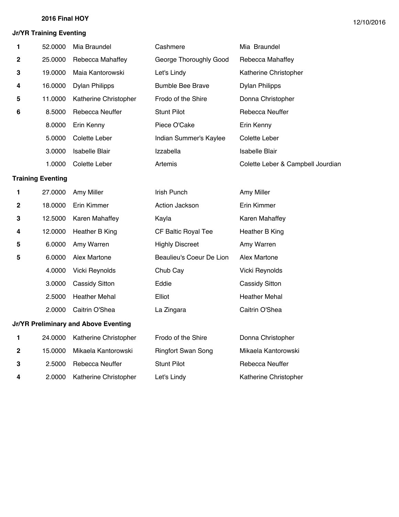## **Jr/YR Training Eventing**

| 1            | 52.0000                  | Mia Braundel                         | Cashmere                  | Mia Braundel                      |
|--------------|--------------------------|--------------------------------------|---------------------------|-----------------------------------|
| 2            | 25.0000                  | Rebecca Mahaffey                     | George Thoroughly Good    | Rebecca Mahaffey                  |
| 3            | 19,0000                  | Maia Kantorowski                     | Let's Lindy               | Katherine Christopher             |
| 4            | 16.0000                  | <b>Dylan Philipps</b>                | <b>Bumble Bee Brave</b>   | <b>Dylan Philipps</b>             |
| 5            | 11.0000                  | Katherine Christopher                | Frodo of the Shire        | Donna Christopher                 |
| 6            | 8.5000                   | Rebecca Neuffer                      | <b>Stunt Pilot</b>        | Rebecca Neuffer                   |
|              | 8.0000                   | Erin Kenny                           | Piece O'Cake              | Erin Kenny                        |
|              | 5.0000                   | Colette Leber                        | Indian Summer's Kaylee    | Colette Leber                     |
|              | 3.0000                   | <b>Isabelle Blair</b>                | Izzabella                 | Isabelle Blair                    |
|              | 1.0000                   | Colette Leber                        | Artemis                   | Colette Leber & Campbell Jourdian |
|              | <b>Training Eventing</b> |                                      |                           |                                   |
| 1            | 27.0000                  | Amy Miller                           | Irish Punch               | Amy Miller                        |
| $\mathbf{2}$ | 18.0000                  | Erin Kimmer                          | Action Jackson            | Erin Kimmer                       |
| 3            | 12.5000                  | Karen Mahaffey                       | Kayla                     | Karen Mahaffey                    |
| 4            | 12.0000                  | Heather B King                       | CF Baltic Royal Tee       | Heather B King                    |
| 5            | 6.0000                   | Amy Warren                           | <b>Highly Discreet</b>    | Amy Warren                        |
| 5            | 6.0000                   | Alex Martone                         | Beaulieu's Coeur De Lion  | Alex Martone                      |
|              | 4.0000                   | Vicki Reynolds                       | Chub Cay                  | Vicki Reynolds                    |
|              | 3.0000                   | <b>Cassidy Sitton</b>                | Eddie                     | <b>Cassidy Sitton</b>             |
|              | 2.5000                   | <b>Heather Mehal</b>                 | Elliot                    | <b>Heather Mehal</b>              |
|              | 2.0000                   | Caitrin O'Shea                       | La Zingara                | Caitrin O'Shea                    |
|              |                          | Jr/YR Preliminary and Above Eventing |                           |                                   |
| 1            | 24.0000                  | Katherine Christopher                | Frodo of the Shire        | Donna Christopher                 |
| 2            | 15.0000                  | Mikaela Kantorowski                  | <b>Ringfort Swan Song</b> | Mikaela Kantorowski               |
| 3            | 2.5000                   | Rebecca Neuffer                      | <b>Stunt Pilot</b>        | Rebecca Neuffer                   |
| 4            | 2.0000                   | Katherine Christopher                | Let's Lindy               | Katherine Christopher             |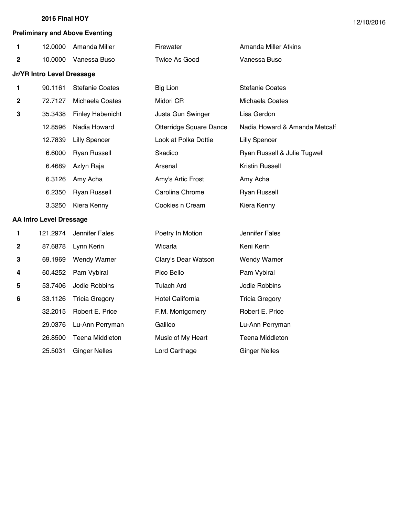#### **Preliminary and Above Eventing**

| 1           | 12.0000                           | Amanda Miller           | Firewater               | Amanda Miller Atkins          |
|-------------|-----------------------------------|-------------------------|-------------------------|-------------------------------|
| $\mathbf 2$ | 10.0000                           | Vanessa Buso            | <b>Twice As Good</b>    | Vanessa Buso                  |
|             | <b>Jr/YR Intro Level Dressage</b> |                         |                         |                               |
| 1           | 90.1161                           | <b>Stefanie Coates</b>  | <b>Big Lion</b>         | <b>Stefanie Coates</b>        |
| $\mathbf 2$ | 72.7127                           | Michaela Coates         | Midori CR               | Michaela Coates               |
| 3           | 35.3438                           | <b>Finley Habenicht</b> | Justa Gun Swinger       | Lisa Gerdon                   |
|             | 12.8596                           | Nadia Howard            | Otterridge Square Dance | Nadia Howard & Amanda Metcalf |
|             | 12.7839                           | <b>Lilly Spencer</b>    | Look at Polka Dottie    | <b>Lilly Spencer</b>          |
|             | 6.6000                            | <b>Ryan Russell</b>     | Skadico                 | Ryan Russell & Julie Tugwell  |
|             | 6.4689                            | Azlyn Raja              | Arsenal                 | <b>Kristin Russell</b>        |
|             | 6.3126                            | Amy Acha                | Amy's Artic Frost       | Amy Acha                      |
|             | 6.2350                            | <b>Ryan Russell</b>     | Carolina Chrome         | <b>Ryan Russell</b>           |
|             | 3.3250                            | Kiera Kenny             | Cookies n Cream         | Kiera Kenny                   |
|             | <b>AA Intro Level Dressage</b>    |                         |                         |                               |
| 1           | 121.2974                          | Jennifer Fales          | Poetry In Motion        | Jennifer Fales                |
| $\mathbf 2$ | 87.6878                           | Lynn Kerin              | Wicarla                 | Keni Kerin                    |
| 3           | 69.1969                           | <b>Wendy Warner</b>     | Clary's Dear Watson     | <b>Wendy Warner</b>           |
| 4           | 60.4252                           | Pam Vybiral             | Pico Bello              | Pam Vybiral                   |
| 5           | 53.7406                           | Jodie Robbins           | <b>Tulach Ard</b>       | Jodie Robbins                 |
| 6           | 33.1126                           | <b>Tricia Gregory</b>   | Hotel California        | <b>Tricia Gregory</b>         |
|             | 32.2015                           | Robert E. Price         | F.M. Montgomery         | Robert E. Price               |
|             | 29.0376                           | Lu-Ann Perryman         | Galileo                 | Lu-Ann Perryman               |
|             | 26.8500                           | <b>Teena Middleton</b>  | Music of My Heart       | Teena Middleton               |
|             | 25.5031                           | <b>Ginger Nelles</b>    | Lord Carthage           | <b>Ginger Nelles</b>          |
|             |                                   |                         |                         |                               |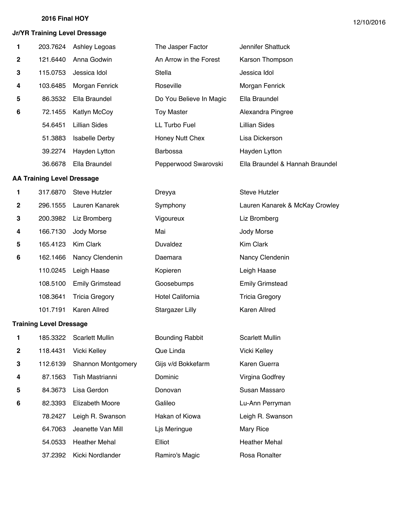## **Jr/YR Training Level Dressage**

| 1 | 203.7624                          | Ashley Legoas          | The Jasper Factor       | Jennifer Shattuck               |
|---|-----------------------------------|------------------------|-------------------------|---------------------------------|
| 2 | 121.6440                          | Anna Godwin            | An Arrow in the Forest  | Karson Thompson                 |
| 3 | 115.0753                          | Jessica Idol           | Stella                  | Jessica Idol                    |
| 4 | 103.6485                          | Morgan Fenrick         | Roseville               | Morgan Fenrick                  |
| 5 | 86.3532                           | Ella Braundel          | Do You Believe In Magic | Ella Braundel                   |
| 6 | 72.1455                           | Katlyn McCoy           | <b>Toy Master</b>       | Alexandra Pingree               |
|   | 54.6451                           | <b>Lillian Sides</b>   | LL Turbo Fuel           | <b>Lillian Sides</b>            |
|   | 51.3883                           | <b>Isabelle Derby</b>  | Honey Nutt Chex         | Lisa Dickerson                  |
|   | 39.2274                           | Hayden Lytton          | Barbossa                | Hayden Lytton                   |
|   | 36.6678                           | Ella Braundel          | Pepperwood Swarovski    | Ella Braundel & Hannah Braundel |
|   | <b>AA Training Level Dressage</b> |                        |                         |                                 |
| 1 | 317.6870                          | <b>Steve Hutzler</b>   | Dreyya                  | <b>Steve Hutzler</b>            |
| 2 | 296.1555                          | Lauren Kanarek         | Symphony                | Lauren Kanarek & McKay Crowley  |
| 3 | 200.3982                          | Liz Bromberg           | Vigoureux               | Liz Bromberg                    |
| 4 | 166.7130                          | Jody Morse             | Mai                     | Jody Morse                      |
| 5 | 165.4123                          | Kim Clark              | Duvaldez                | <b>Kim Clark</b>                |
| 6 | 162.1466                          | Nancy Clendenin        | Daemara                 | Nancy Clendenin                 |
|   | 110.0245                          | Leigh Haase            | Kopieren                | Leigh Haase                     |
|   | 108.5100                          | <b>Emily Grimstead</b> | Goosebumps              | <b>Emily Grimstead</b>          |
|   | 108.3641                          | <b>Tricia Gregory</b>  | Hotel California        | <b>Tricia Gregory</b>           |
|   | 101.7191                          | Karen Allred           | <b>Stargazer Lilly</b>  | Karen Allred                    |
|   | <b>Training Level Dressage</b>    |                        |                         |                                 |
| 1 | 185.3322                          | <b>Scarlett Mullin</b> | <b>Bounding Rabbit</b>  | <b>Scarlett Mullin</b>          |
| 2 | 118.4431                          | Vicki Kelley           | Que Linda               | Vicki Kelley                    |
| 3 | 112.6139                          | Shannon Montgomery     | Gijs v/d Bokkefarm      | Karen Guerra                    |
| 4 | 87.1563                           | Tish Mastrianni        | Dominic                 | Virgina Godfrey                 |
| 5 | 84.3673                           | Lisa Gerdon            | Donovan                 | Susan Massaro                   |
| 6 | 82.3393                           | <b>Elizabeth Moore</b> | Galileo                 | Lu-Ann Perryman                 |
|   | 78.2427                           | Leigh R. Swanson       | Hakan of Kiowa          | Leigh R. Swanson                |
|   | 64.7063                           | Jeanette Van Mill      | Ljs Meringue            | Mary Rice                       |
|   | 54.0533                           | <b>Heather Mehal</b>   | Elliot                  | <b>Heather Mehal</b>            |
|   | 37.2392                           | Kicki Nordlander       | Ramiro's Magic          | Rosa Ronalter                   |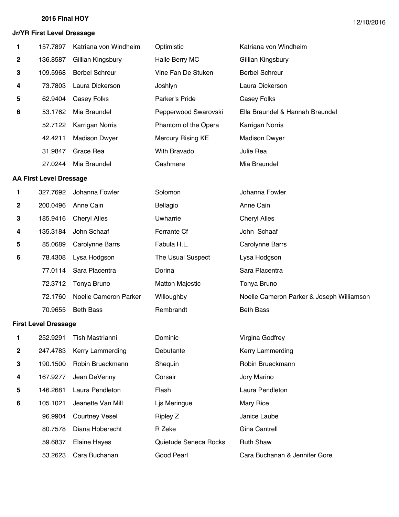## **Jr/YR First Level Dressage**

| 1                | 157.7897                       | Katriana von Windheim  | Optimistic               | Katriana von Windheim                     |
|------------------|--------------------------------|------------------------|--------------------------|-------------------------------------------|
| $\boldsymbol{2}$ | 136.8587                       | Gillian Kingsbury      | Halle Berry MC           | Gillian Kingsbury                         |
| 3                | 109.5968                       | <b>Berbel Schreur</b>  | Vine Fan De Stuken       | <b>Berbel Schreur</b>                     |
| 4                | 73.7803                        | Laura Dickerson        | Joshlyn                  | Laura Dickerson                           |
| 5                | 62.9404                        | Casey Folks            | Parker's Pride           | Casey Folks                               |
| 6                | 53.1762                        | Mia Braundel           | Pepperwood Swarovski     | Ella Braundel & Hannah Braundel           |
|                  | 52.7122                        | Karrigan Norris        | Phantom of the Opera     | Karrigan Norris                           |
|                  | 42.4211                        | <b>Madison Dwyer</b>   | <b>Mercury Rising KE</b> | <b>Madison Dwyer</b>                      |
|                  | 31.9847                        | Grace Rea              | With Bravado             | Julie Rea                                 |
|                  | 27.0244                        | Mia Braundel           | Cashmere                 | Mia Braundel                              |
|                  | <b>AA First Level Dressage</b> |                        |                          |                                           |
| 1                | 327.7692                       | Johanna Fowler         | Solomon                  | Johanna Fowler                            |
| 2                | 200.0496                       | Anne Cain              | Bellagio                 | Anne Cain                                 |
| 3                | 185.9416                       | <b>Cheryl Alles</b>    | Uwharrie                 | <b>Cheryl Alles</b>                       |
| 4                | 135.3184                       | John Schaaf            | Ferrante Cf              | John Schaaf                               |
| 5                | 85.0689                        | <b>Carolynne Barrs</b> | Fabula H.L.              | <b>Carolynne Barrs</b>                    |
| 6                | 78.4308                        | Lysa Hodgson           | The Usual Suspect        | Lysa Hodgson                              |
|                  | 77.0114                        | Sara Placentra         | Dorina                   | Sara Placentra                            |
|                  | 72.3712                        | Tonya Bruno            | <b>Matton Majestic</b>   | Tonya Bruno                               |
|                  | 72.1760                        | Noelle Cameron Parker  | Willoughby               | Noelle Cameron Parker & Joseph Williamson |
|                  | 70.9655                        | <b>Beth Bass</b>       | Rembrandt                | <b>Beth Bass</b>                          |
|                  | <b>First Level Dressage</b>    |                        |                          |                                           |
| 1                | 252.9291                       | Tish Mastrianni        | Dominic                  | Virgina Godfrey                           |
| 2                | 247.4783                       | Kerry Lammerding       | Debutante                | Kerry Lammerding                          |
| 3                | 190.1500                       | Robin Brueckmann       | Shequin                  | Robin Brueckmann                          |
| 4                | 167.9277                       | Jean DeVenny           | Corsair                  | Jory Marino                               |
| 5                | 146.2681                       | Laura Pendleton        | Flash                    | Laura Pendleton                           |
| 6                | 105.1021                       | Jeanette Van Mill      | Ljs Meringue             | Mary Rice                                 |
|                  | 96.9904                        | <b>Courtney Vesel</b>  | <b>Ripley Z</b>          | Janice Laube                              |
|                  | 80.7578                        | Diana Hoberecht        | R Zeke                   | Gina Cantrell                             |
|                  | 59.6837                        | <b>Elaine Hayes</b>    | Quietude Seneca Rocks    | <b>Ruth Shaw</b>                          |
|                  | 53.2623                        | Cara Buchanan          | Good Pearl               | Cara Buchanan & Jennifer Gore             |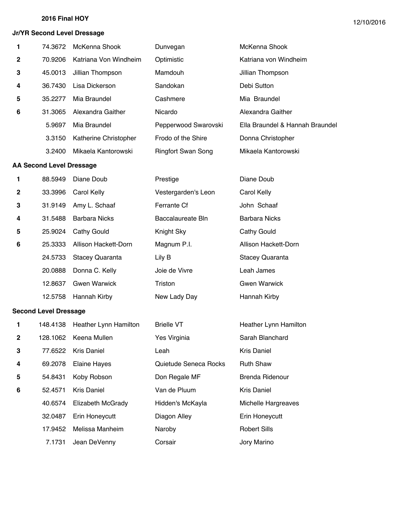#### **Jr/YR Second Level Dressage**

| 1                        | 74.3672 | McKenna Shook         | Dunvegan                  | McKenna Shook                   |  |  |
|--------------------------|---------|-----------------------|---------------------------|---------------------------------|--|--|
| $\mathbf{2}$             | 70.9206 | Katriana Von Windheim | Optimistic                | Katriana von Windheim           |  |  |
| 3                        | 45.0013 | Jillian Thompson      | Mamdouh                   | Jillian Thompson                |  |  |
| 4                        | 36.7430 | Lisa Dickerson        | Sandokan                  | Debi Sutton                     |  |  |
| 5                        | 35.2277 | Mia Braundel          | Cashmere                  | Mia Braundel                    |  |  |
| 6                        | 31.3065 | Alexandra Gaither     | Nicardo                   | Alexandra Gaither               |  |  |
|                          | 5.9697  | Mia Braundel          | Pepperwood Swarovski      | Ella Braundel & Hannah Braundel |  |  |
|                          | 3.3150  | Katherine Christopher | Frodo of the Shire        | Donna Christopher               |  |  |
|                          | 3.2400  | Mikaela Kantorowski   | <b>Ringfort Swan Song</b> | Mikaela Kantorowski             |  |  |
| AA Second Level Dressage |         |                       |                           |                                 |  |  |

| 1            | 88.5949 | Diane Doub             | Prestige            | Diane Doub             |
|--------------|---------|------------------------|---------------------|------------------------|
| $\mathbf{2}$ | 33.3996 | Carol Kelly            | Vestergarden's Leon | Carol Kelly            |
| 3            | 31.9149 | Amy L. Schaaf          | Ferrante Cf         | John Schaaf            |
| 4            | 31.5488 | <b>Barbara Nicks</b>   | Baccalaureate Bln   | <b>Barbara Nicks</b>   |
| 5            | 25.9024 | Cathy Gould            | Knight Sky          | Cathy Gould            |
| 6            | 25.3333 | Allison Hackett-Dorn   | Magnum P.I.         | Allison Hackett-Dorn   |
|              | 24.5733 | <b>Stacey Quaranta</b> | Lily B              | <b>Stacey Quaranta</b> |
|              | 20.0888 | Donna C. Kelly         | Joie de Vivre       | Leah James             |
|              | 12.8637 | <b>Gwen Warwick</b>    | Triston             | <b>Gwen Warwick</b>    |
|              | 12.5758 | Hannah Kirby           | New Lady Day        | Hannah Kirby           |

#### **Second Level Dressage**

| 1.             | 148.4138 | Heather Lynn Hamilton | <b>Brielle VT</b>     | Heather Lynn Hamilton |
|----------------|----------|-----------------------|-----------------------|-----------------------|
| $\overline{2}$ | 128.1062 | Keena Mullen          | Yes Virginia          | Sarah Blanchard       |
| 3              | 77.6522  | <b>Kris Daniel</b>    | Leah                  | Kris Daniel           |
| 4              | 69.2078  | Elaine Hayes          | Quietude Seneca Rocks | <b>Ruth Shaw</b>      |
| 5              | 54.8431  | Koby Robson           | Don Regale MF         | Brenda Ridenour       |
| 6              | 52.4571  | <b>Kris Daniel</b>    | Van de Pluum          | Kris Daniel           |
|                | 40.6574  | Elizabeth McGrady     | Hidden's McKayla      | Michelle Hargreaves   |
|                | 32.0487  | Erin Honeycutt        | Diagon Alley          | Erin Honeycutt        |
|                | 17.9452  | Melissa Manheim       | Naroby                | <b>Robert Sills</b>   |
|                | 7.1731   | Jean DeVenny          | Corsair               | Jory Marino           |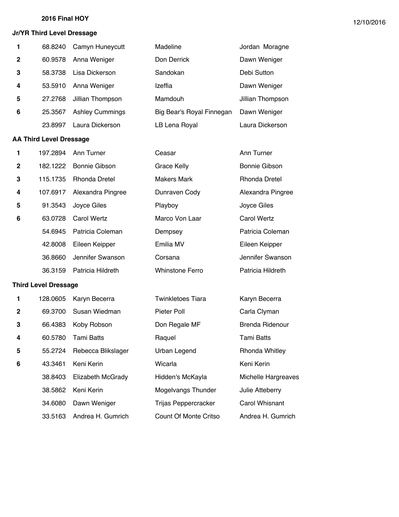#### **Jr/YR Third Level Dressage**

| $\mathbf{1}$   | 68.8240 | Camyn Huneycutt        | Madeline                  | Jordan Moragne   |
|----------------|---------|------------------------|---------------------------|------------------|
| $\overline{2}$ | 60.9578 | Anna Weniger           | Don Derrick               | Dawn Weniger     |
| 3              | 58.3738 | Lisa Dickerson         | Sandokan                  | Debi Sutton      |
| 4              | 53.5910 | Anna Weniger           | Izeffia                   | Dawn Weniger     |
| 5              | 27.2768 | Jillian Thompson       | Mamdouh                   | Jillian Thompson |
| 6              | 25.3567 | <b>Ashley Cummings</b> | Big Bear's Royal Finnegan | Dawn Weniger     |
|                | 23.8997 | Laura Dickerson        | LB Lena Royal             | Laura Dickerson  |
|                |         |                        |                           |                  |

## **AA Third Level Dressage**

|              | 197.2894 | Ann Turner           | Ceasar                 | Ann Turner           |
|--------------|----------|----------------------|------------------------|----------------------|
| $\mathbf{2}$ | 182.1222 | Bonnie Gibson        | Grace Kelly            | Bonnie Gibson        |
| 3            | 115.1735 | <b>Rhonda Dretel</b> | <b>Makers Mark</b>     | <b>Rhonda Dretel</b> |
| 4            | 107.6917 | Alexandra Pingree    | Dunraven Cody          | Alexandra Pingree    |
| 5            | 91.3543  | Joyce Giles          | Playboy                | Joyce Giles          |
| 6            | 63.0728  | <b>Carol Wertz</b>   | Marco Von Laar         | Carol Wertz          |
|              | 54.6945  | Patricia Coleman     | Dempsey                | Patricia Coleman     |
|              | 42,8008  | Eileen Keipper       | Emilia MV              | Eileen Keipper       |
|              | 36.8660  | Jennifer Swanson     | Corsana                | Jennifer Swanson     |
|              | 36.3159  | Patricia Hildreth    | <b>Whinstone Ferro</b> | Patricia Hildreth    |

#### **Third Level Dressage**

| 1            | 128.0605 | Karyn Becerra      | <b>Twinkletoes Tiara</b> | Karyn Becerra         |
|--------------|----------|--------------------|--------------------------|-----------------------|
| $\mathbf{2}$ | 69.3700  | Susan Wiedman      | Pieter Poll              | Carla Clyman          |
| 3            | 66.4383  | Koby Robson        | Don Regale MF            | Brenda Ridenour       |
| 4            | 60.5780  | Tami Batts         | Raquel                   | Tami Batts            |
| 5            | 55.2724  | Rebecca Blikslager | Urban Legend             | <b>Rhonda Whitley</b> |
| 6            | 43.3461  | Keni Kerin         | Wicarla                  | Keni Kerin            |
|              | 38.8403  | Elizabeth McGrady  | Hidden's McKayla         | Michelle Hargreaves   |
|              | 38.5862  | Keni Kerin         | Mogelvangs Thunder       | Julie Atteberry       |
|              | 34,6080  | Dawn Weniger       | Trijas Peppercracker     | Carol Whisnant        |
|              | 33.5163  | Andrea H. Gumrich  | Count Of Monte Critso    | Andrea H. Gumrich     |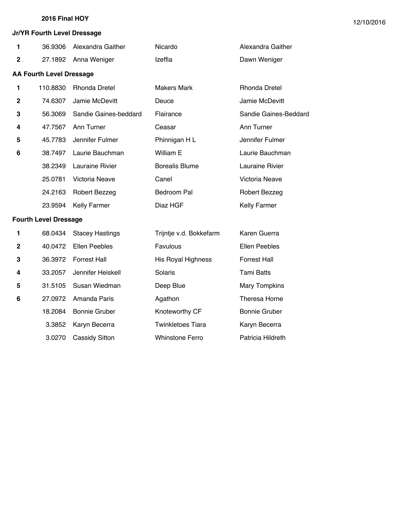**1** 36.9306 Alexandra Gaither **Nicardo** 

**2** 27.1892 Anna Weniger Izeffia

#### **Jr/YR Fourth Level Dressage**

**AA Fourth Level Dressage**

| Alexandra Gaither |
|-------------------|
| Dawn Weniger      |
|                   |

| 1 | 110.8830 | <b>Rhonda Dretel</b>  | Makers Mark           | <b>Rhonda Dretel</b>  |
|---|----------|-----------------------|-----------------------|-----------------------|
| 2 | 74.6307  | Jamie McDevitt        | Deuce                 | Jamie McDevitt        |
| 3 | 56.3069  | Sandie Gaines-beddard | Flairance             | Sandie Gaines-Beddard |
| 4 | 47.7567  | Ann Turner            | Ceasar                | Ann Turner            |
| 5 | 45.7783  | Jennifer Fulmer       | Phinnigan H L         | Jennifer Fulmer       |
| 6 | 38.7497  | Laurie Bauchman       | William E             | Laurie Bauchman       |
|   | 38.2349  | Lauraine Rivier       | <b>Borealis Blume</b> | Lauraine Rivier       |
|   | 25.0781  | Victoria Neave        | Canel                 | Victoria Neave        |
|   | 24.2163  | <b>Robert Bezzeg</b>  | Bedroom Pal           | Robert Bezzeg         |
|   | 23.9594  | <b>Kelly Farmer</b>   | Diaz HGF              | <b>Kelly Farmer</b>   |
|   |          |                       |                       |                       |

#### **Fourth Level Dressage**

| $\mathbf{1}$ | 68.0434 | <b>Stacey Hastings</b> | Trijntje v.d. Bokkefarm | Karen Guerra         |
|--------------|---------|------------------------|-------------------------|----------------------|
| $\mathbf 2$  | 40.0472 | <b>Ellen Peebles</b>   | Favulous                | Ellen Peebles        |
| 3            | 36.3972 | <b>Forrest Hall</b>    | His Royal Highness      | <b>Forrest Hall</b>  |
| 4            | 33.2057 | Jennifer Heiskell      | Solaris                 | Tami Batts           |
| 5            | 31.5105 | Susan Wiedman          | Deep Blue               | <b>Mary Tompkins</b> |
| 6            | 27.0972 | Amanda Paris           | Agathon                 | Theresa Horne        |
|              | 18.2084 | <b>Bonnie Gruber</b>   | Knoteworthy CF          | Bonnie Gruber        |
|              | 3.3852  | Karyn Becerra          | Twinkletoes Tiara       | Karyn Becerra        |
|              | 3.0270  | <b>Cassidy Sitton</b>  | <b>Whinstone Ferro</b>  | Patricia Hildreth    |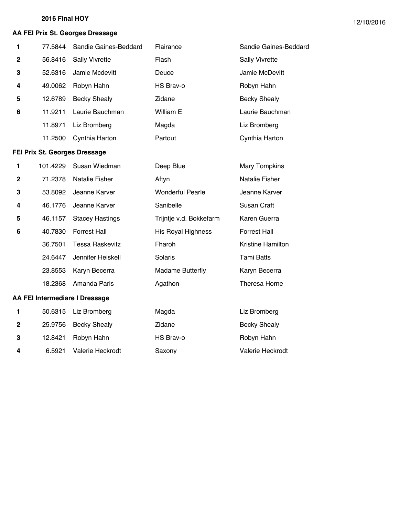## **AA FEI Prix St. Georges Dressage**

| 1           | 77.5844                       | Sandie Gaines-Beddard          | Flairance                 | Sandie Gaines-Beddard |
|-------------|-------------------------------|--------------------------------|---------------------------|-----------------------|
| $\mathbf 2$ | 56.8416                       | <b>Sally Vivrette</b>          | Flash                     | <b>Sally Vivrette</b> |
| 3           | 52.6316                       | Jamie Mcdevitt                 | Deuce                     | Jamie McDevitt        |
| 4           | 49.0062                       | Robyn Hahn                     | HS Brav-o                 | Robyn Hahn            |
| 5           | 12.6789                       | <b>Becky Shealy</b>            | Zidane                    | <b>Becky Shealy</b>   |
| 6           | 11.9211                       | Laurie Bauchman                | William E                 | Laurie Bauchman       |
|             | 11.8971                       | Liz Bromberg                   | Magda                     | Liz Bromberg          |
|             | 11.2500                       | Cynthia Harton                 | Partout                   | Cynthia Harton        |
|             | FEI Prix St. Georges Dressage |                                |                           |                       |
| 1           | 101.4229                      | Susan Wiedman                  | Deep Blue                 | <b>Mary Tompkins</b>  |
| $\mathbf 2$ | 71.2378                       | <b>Natalie Fisher</b>          | Aftyn                     | <b>Natalie Fisher</b> |
| 3           | 53.8092                       | Jeanne Karver                  | <b>Wonderful Pearle</b>   | Jeanne Karver         |
| 4           | 46.1776                       | Jeanne Karver                  | Sanibelle                 | Susan Craft           |
| 5           | 46.1157                       | <b>Stacey Hastings</b>         | Trijntje v.d. Bokkefarm   | Karen Guerra          |
| 6           | 40.7830                       | <b>Forrest Hall</b>            | <b>His Royal Highness</b> | <b>Forrest Hall</b>   |
|             | 36.7501                       | <b>Tessa Raskevitz</b>         | Fharoh                    | Kristine Hamilton     |
|             | 24.6447                       | Jennifer Heiskell              | Solaris                   | <b>Tami Batts</b>     |
|             | 23.8553                       | Karyn Becerra                  | <b>Madame Butterfly</b>   | Karyn Becerra         |
|             | 18.2368                       | Amanda Paris                   | Agathon                   | Theresa Horne         |
|             |                               | AA FEI Intermediare I Dressage |                           |                       |
| 1           | 50.6315                       | Liz Bromberg                   | Magda                     | Liz Bromberg          |

2 25.9756 Becky Shealy **Zidane Zidane** Becky Shealy 12.8421 Robyn Hahn **HS Brav-o** Robyn Hahn

6.5921 Valerie Heckrodt Saxony Valerie Heckrodt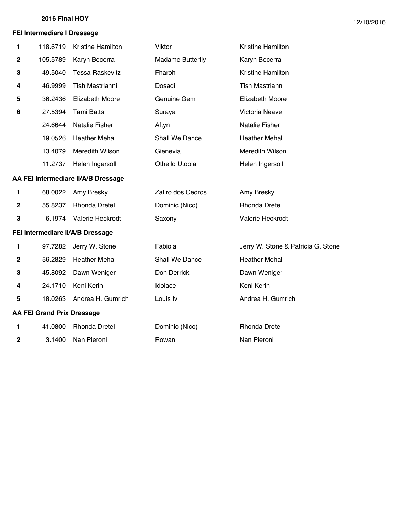## **FEI Intermediare I Dressage**

| 1           | 118.6719                          | Kristine Hamilton                   | Viktor                  | Kristine Hamilton                  |
|-------------|-----------------------------------|-------------------------------------|-------------------------|------------------------------------|
| $\mathbf 2$ | 105.5789                          | Karyn Becerra                       | <b>Madame Butterfly</b> | Karyn Becerra                      |
| 3           | 49.5040                           | <b>Tessa Raskevitz</b>              | Fharoh                  | Kristine Hamilton                  |
| 4           | 46.9999                           | Tish Mastrianni                     | Dosadi                  | Tish Mastrianni                    |
| 5           | 36.2436                           | <b>Elizabeth Moore</b>              | Genuine Gem             | <b>Elizabeth Moore</b>             |
| 6           | 27.5394                           | <b>Tami Batts</b>                   | Suraya                  | Victoria Neave                     |
|             | 24.6644                           | Natalie Fisher                      | Aftyn                   | Natalie Fisher                     |
|             | 19.0526                           | <b>Heather Mehal</b>                | Shall We Dance          | <b>Heather Mehal</b>               |
|             | 13.4079                           | Meredith Wilson                     | Gienevia                | Meredith Wilson                    |
|             | 11.2737                           | Helen Ingersoll                     | Othello Utopia          | Helen Ingersoll                    |
|             |                                   | AA FEI Intermediare II/A/B Dressage |                         |                                    |
| 1           | 68.0022                           | Amy Bresky                          | Zafiro dos Cedros       | Amy Bresky                         |
| $\mathbf 2$ | 55.8237                           | <b>Rhonda Dretel</b>                | Dominic (Nico)          | <b>Rhonda Dretel</b>               |
| ${\bf 3}$   | 6.1974                            | Valerie Heckrodt                    | Saxony                  | Valerie Heckrodt                   |
|             |                                   | FEI Intermediare II/A/B Dressage    |                         |                                    |
| 1           | 97.7282                           | Jerry W. Stone                      | Fabiola                 | Jerry W. Stone & Patricia G. Stone |
| $\mathbf 2$ | 56.2829                           | <b>Heather Mehal</b>                | Shall We Dance          | <b>Heather Mehal</b>               |
| 3           | 45.8092                           | Dawn Weniger                        | Don Derrick             | Dawn Weniger                       |
| 4           | 24.1710                           | Keni Kerin                          | Idolace                 | Keni Kerin                         |
| 5           | 18.0263                           | Andrea H. Gumrich                   | Louis Iv                | Andrea H. Gumrich                  |
|             | <b>AA FEI Grand Prix Dressage</b> |                                     |                         |                                    |
| 1           | 41.0800                           | <b>Rhonda Dretel</b>                | Dominic (Nico)          | <b>Rhonda Dretel</b>               |
| 2           | 3.1400                            | Nan Pieroni                         | Rowan                   | Nan Pieroni                        |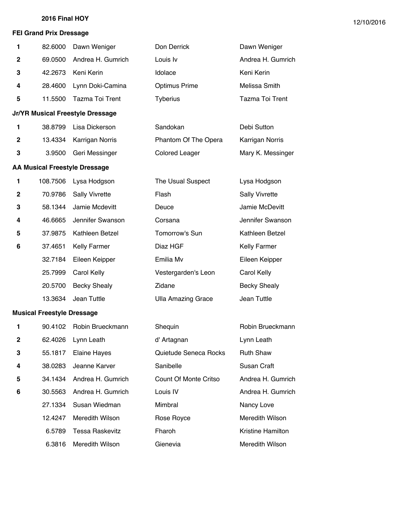## **FEI Grand Prix Dressage**

| 1                | 82.6000                              | Dawn Weniger                            | Don Derrick                  | Dawn Weniger          |
|------------------|--------------------------------------|-----------------------------------------|------------------------------|-----------------------|
| $\mathbf{2}$     | 69.0500                              | Andrea H. Gumrich                       | Louis Iv                     | Andrea H. Gumrich     |
| 3                | 42.2673                              | Keni Kerin                              | Idolace                      | Keni Kerin            |
| 4                | 28.4600                              | Lynn Doki-Camina                        | <b>Optimus Prime</b>         | Melissa Smith         |
| 5                | 11.5500                              | Tazma Toi Trent                         | <b>Tyberius</b>              | Tazma Toi Trent       |
|                  |                                      | <b>Jr/YR Musical Freestyle Dressage</b> |                              |                       |
| 1                | 38.8799                              | Lisa Dickerson                          | Sandokan                     | Debi Sutton           |
| $\mathbf 2$      | 13.4334                              | Karrigan Norris                         | Phantom Of The Opera         | Karrigan Norris       |
| 3                | 3.9500                               | Geri Messinger                          | <b>Colored Leager</b>        | Mary K. Messinger     |
|                  | <b>AA Musical Freestyle Dressage</b> |                                         |                              |                       |
| 1                | 108.7506                             | Lysa Hodgson                            | The Usual Suspect            | Lysa Hodgson          |
| $\mathbf{2}$     | 70.9786                              | <b>Sally Vivrette</b>                   | Flash                        | <b>Sally Vivrette</b> |
| 3                | 58.1344                              | Jamie Mcdevitt                          | Deuce                        | Jamie McDevitt        |
| 4                | 46.6665                              | Jennifer Swanson                        | Corsana                      | Jennifer Swanson      |
| 5                | 37.9875                              | Kathleen Betzel                         | Tomorrow's Sun               | Kathleen Betzel       |
| 6                | 37.4651                              | <b>Kelly Farmer</b>                     | Diaz HGF                     | Kelly Farmer          |
|                  | 32.7184                              | Eileen Keipper                          | Emilia Mv                    | Eileen Keipper        |
|                  | 25.7999                              | Carol Kelly                             | Vestergarden's Leon          | Carol Kelly           |
|                  | 20.5700                              | <b>Becky Shealy</b>                     | Zidane                       | <b>Becky Shealy</b>   |
|                  | 13.3634                              | Jean Tuttle                             | <b>Ulla Amazing Grace</b>    | Jean Tuttle           |
|                  | <b>Musical Freestyle Dressage</b>    |                                         |                              |                       |
| 1                | 90.4102                              | Robin Brueckmann                        | Shequin                      | Robin Brueckmann      |
| $\boldsymbol{2}$ | 62.4026                              | Lynn Leath                              | d' Artagnan                  | Lynn Leath            |
| 3                | 55.1817                              | Elaine Hayes                            | Quietude Seneca Rocks        | <b>Ruth Shaw</b>      |
| 4                | 38.0283                              | Jeanne Karver                           | Sanibelle                    | Susan Craft           |
| 5                | 34.1434                              | Andrea H. Gumrich                       | <b>Count Of Monte Critso</b> | Andrea H. Gumrich     |
| 6                | 30.5563                              | Andrea H. Gumrich                       | Louis IV                     | Andrea H. Gumrich     |
|                  | 27.1334                              | Susan Wiedman                           | Mimbral                      | Nancy Love            |
|                  | 12.4247                              | Meredith Wilson                         | Rose Royce                   | Meredith Wilson       |
|                  | 6.5789                               | <b>Tessa Raskevitz</b>                  | Fharoh                       | Kristine Hamilton     |
|                  | 6.3816                               | Meredith Wilson                         | Gienevia                     | Meredith Wilson       |